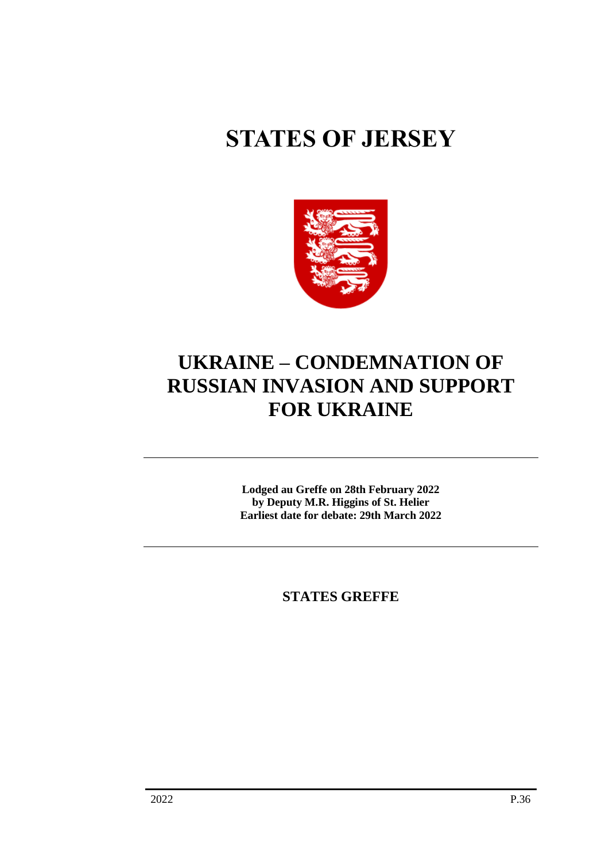# **STATES OF JERSEY**



# **UKRAINE – CONDEMNATION OF RUSSIAN INVASION AND SUPPORT FOR UKRAINE**

**Lodged au Greffe on 28th February 2022 by Deputy M.R. Higgins of St. Helier Earliest date for debate: 29th March 2022**

**STATES GREFFE**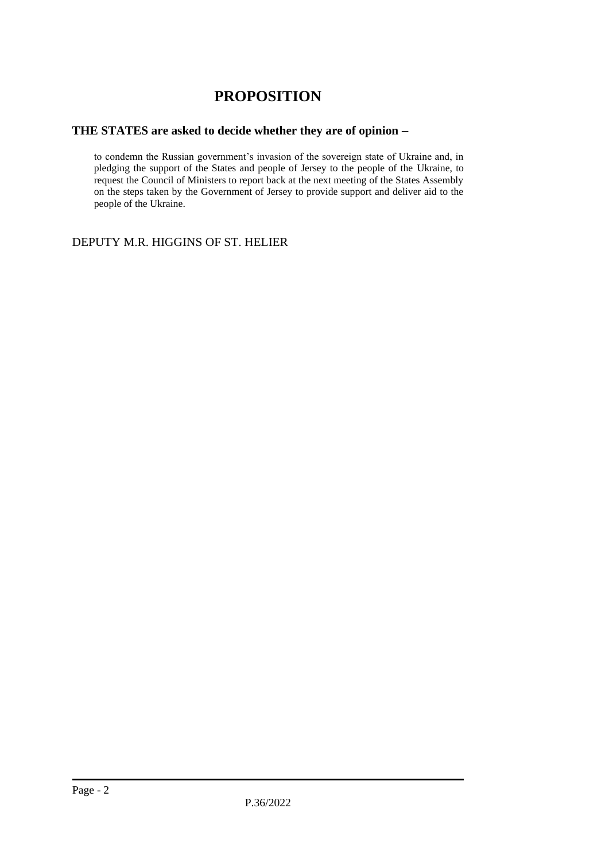# **PROPOSITION**

## **THE STATES are asked to decide whether they are of opinion** −

to condemn the Russian government's invasion of the sovereign state of Ukraine and, in pledging the support of the States and people of Jersey to the people of the Ukraine, to request the Council of Ministers to report back at the next meeting of the States Assembly on the steps taken by the Government of Jersey to provide support and deliver aid to the people of the Ukraine.

DEPUTY M.R. HIGGINS OF ST. HELIER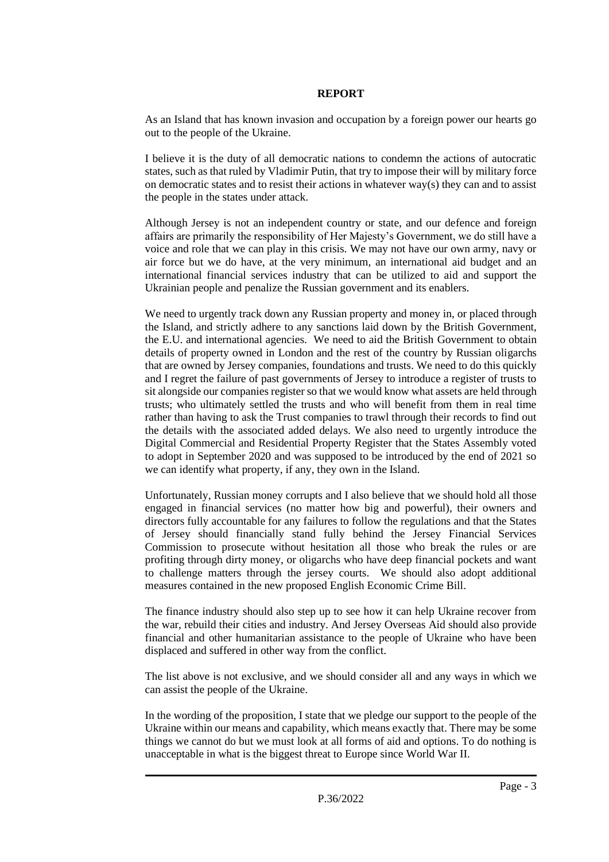#### **REPORT**

As an Island that has known invasion and occupation by a foreign power our hearts go out to the people of the Ukraine.

I believe it is the duty of all democratic nations to condemn the actions of autocratic states, such as that ruled by Vladimir Putin, that try to impose their will by military force on democratic states and to resist their actions in whatever way(s) they can and to assist the people in the states under attack.

Although Jersey is not an independent country or state, and our defence and foreign affairs are primarily the responsibility of Her Majesty's Government, we do still have a voice and role that we can play in this crisis. We may not have our own army, navy or air force but we do have, at the very minimum, an international aid budget and an international financial services industry that can be utilized to aid and support the Ukrainian people and penalize the Russian government and its enablers.

We need to urgently track down any Russian property and money in, or placed through the Island, and strictly adhere to any sanctions laid down by the British Government, the E.U. and international agencies. We need to aid the British Government to obtain details of property owned in London and the rest of the country by Russian oligarchs that are owned by Jersey companies, foundations and trusts. We need to do this quickly and I regret the failure of past governments of Jersey to introduce a register of trusts to sit alongside our companies register so that we would know what assets are held through trusts; who ultimately settled the trusts and who will benefit from them in real time rather than having to ask the Trust companies to trawl through their records to find out the details with the associated added delays. We also need to urgently introduce the Digital Commercial and Residential Property Register that the States Assembly voted to adopt in September 2020 and was supposed to be introduced by the end of 2021 so we can identify what property, if any, they own in the Island.

Unfortunately, Russian money corrupts and I also believe that we should hold all those engaged in financial services (no matter how big and powerful), their owners and directors fully accountable for any failures to follow the regulations and that the States of Jersey should financially stand fully behind the Jersey Financial Services Commission to prosecute without hesitation all those who break the rules or are profiting through dirty money, or oligarchs who have deep financial pockets and want to challenge matters through the jersey courts. We should also adopt additional measures contained in the new proposed English Economic Crime Bill.

The finance industry should also step up to see how it can help Ukraine recover from the war, rebuild their cities and industry. And Jersey Overseas Aid should also provide financial and other humanitarian assistance to the people of Ukraine who have been displaced and suffered in other way from the conflict.

The list above is not exclusive, and we should consider all and any ways in which we can assist the people of the Ukraine.

In the wording of the proposition, I state that we pledge our support to the people of the Ukraine within our means and capability, which means exactly that. There may be some things we cannot do but we must look at all forms of aid and options. To do nothing is unacceptable in what is the biggest threat to Europe since World War II.